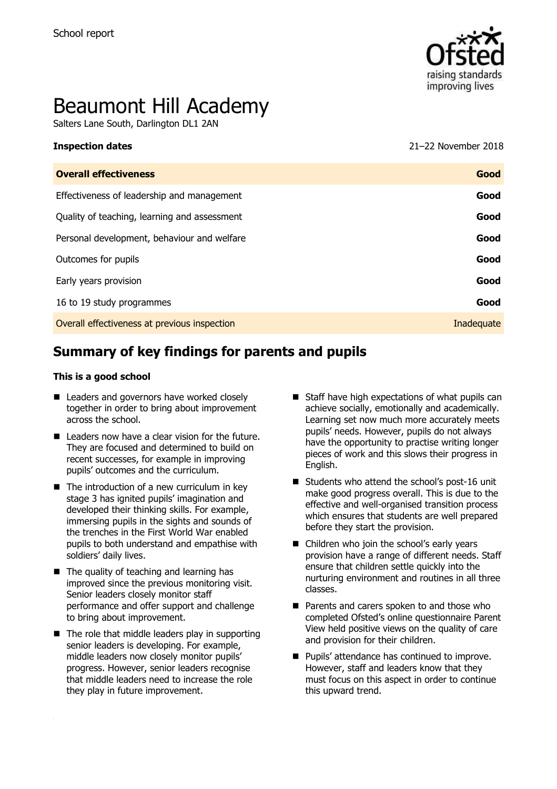

# Beaumont Hill Academy

Salters Lane South, Darlington DL1 2AN

**Inspection dates** 2018 **Inspection dates** 

| <b>Overall effectiveness</b>                 | Good       |
|----------------------------------------------|------------|
| Effectiveness of leadership and management   | Good       |
| Quality of teaching, learning and assessment | Good       |
| Personal development, behaviour and welfare  | Good       |
| Outcomes for pupils                          | Good       |
| Early years provision                        | Good       |
| 16 to 19 study programmes                    | Good       |
| Overall effectiveness at previous inspection | Inadequate |

# **Summary of key findings for parents and pupils**

#### **This is a good school**

- Leaders and governors have worked closely together in order to bring about improvement across the school.
- Leaders now have a clear vision for the future. They are focused and determined to build on recent successes, for example in improving pupils' outcomes and the curriculum.
- $\blacksquare$  The introduction of a new curriculum in key stage 3 has ignited pupils' imagination and developed their thinking skills. For example, immersing pupils in the sights and sounds of the trenches in the First World War enabled pupils to both understand and empathise with soldiers' daily lives.
- The quality of teaching and learning has improved since the previous monitoring visit. Senior leaders closely monitor staff performance and offer support and challenge to bring about improvement.
- $\blacksquare$  The role that middle leaders play in supporting senior leaders is developing. For example, middle leaders now closely monitor pupils' progress. However, senior leaders recognise that middle leaders need to increase the role they play in future improvement.
- $\blacksquare$  Staff have high expectations of what pupils can achieve socially, emotionally and academically. Learning set now much more accurately meets pupils' needs. However, pupils do not always have the opportunity to practise writing longer pieces of work and this slows their progress in English.
- Students who attend the school's post-16 unit make good progress overall. This is due to the effective and well-organised transition process which ensures that students are well prepared before they start the provision.
- Children who join the school's early years provision have a range of different needs. Staff ensure that children settle quickly into the nurturing environment and routines in all three classes.
- **Parents and carers spoken to and those who** completed Ofsted's online questionnaire Parent View held positive views on the quality of care and provision for their children.
- **Pupils' attendance has continued to improve.** However, staff and leaders know that they must focus on this aspect in order to continue this upward trend.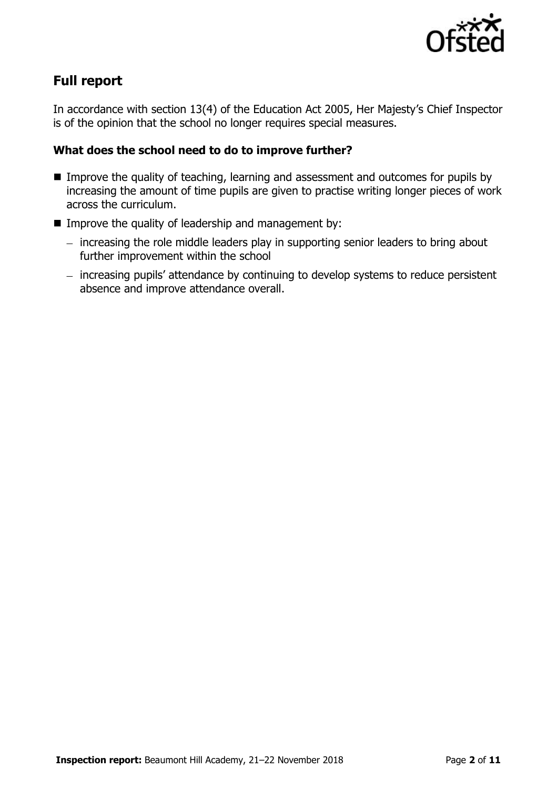

# **Full report**

In accordance with section 13(4) of the Education Act 2005, Her Majesty's Chief Inspector is of the opinion that the school no longer requires special measures.

#### **What does the school need to do to improve further?**

- Improve the quality of teaching, learning and assessment and outcomes for pupils by increasing the amount of time pupils are given to practise writing longer pieces of work across the curriculum.
- Improve the quality of leadership and management by:
	- increasing the role middle leaders play in supporting senior leaders to bring about further improvement within the school
	- increasing pupils' attendance by continuing to develop systems to reduce persistent absence and improve attendance overall.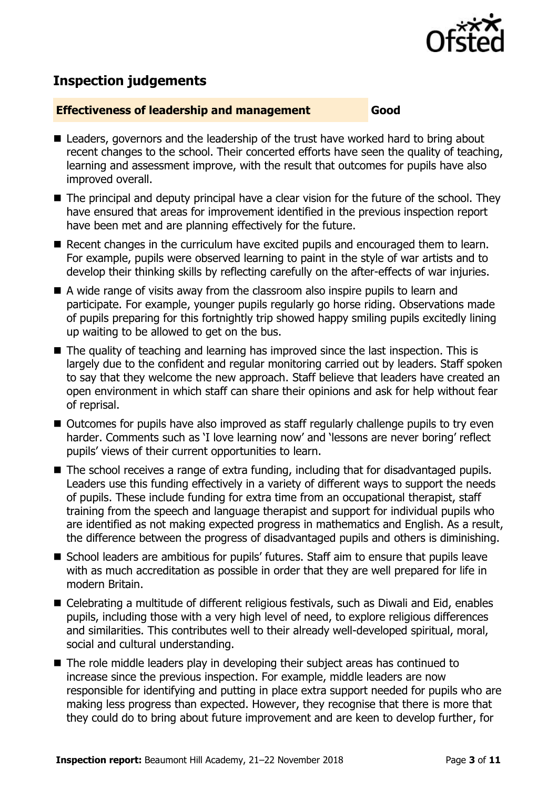

# **Inspection judgements**

#### **Effectiveness of leadership and management Good**

- Leaders, governors and the leadership of the trust have worked hard to bring about recent changes to the school. Their concerted efforts have seen the quality of teaching, learning and assessment improve, with the result that outcomes for pupils have also improved overall.
- The principal and deputy principal have a clear vision for the future of the school. They have ensured that areas for improvement identified in the previous inspection report have been met and are planning effectively for the future.
- Recent changes in the curriculum have excited pupils and encouraged them to learn. For example, pupils were observed learning to paint in the style of war artists and to develop their thinking skills by reflecting carefully on the after-effects of war injuries.
- A wide range of visits away from the classroom also inspire pupils to learn and participate. For example, younger pupils regularly go horse riding. Observations made of pupils preparing for this fortnightly trip showed happy smiling pupils excitedly lining up waiting to be allowed to get on the bus.
- The quality of teaching and learning has improved since the last inspection. This is largely due to the confident and regular monitoring carried out by leaders. Staff spoken to say that they welcome the new approach. Staff believe that leaders have created an open environment in which staff can share their opinions and ask for help without fear of reprisal.
- Outcomes for pupils have also improved as staff regularly challenge pupils to try even harder. Comments such as 'I love learning now' and 'lessons are never boring' reflect pupils' views of their current opportunities to learn.
- The school receives a range of extra funding, including that for disadvantaged pupils. Leaders use this funding effectively in a variety of different ways to support the needs of pupils. These include funding for extra time from an occupational therapist, staff training from the speech and language therapist and support for individual pupils who are identified as not making expected progress in mathematics and English. As a result, the difference between the progress of disadvantaged pupils and others is diminishing.
- School leaders are ambitious for pupils' futures. Staff aim to ensure that pupils leave with as much accreditation as possible in order that they are well prepared for life in modern Britain.
- Celebrating a multitude of different religious festivals, such as Diwali and Eid, enables pupils, including those with a very high level of need, to explore religious differences and similarities. This contributes well to their already well-developed spiritual, moral, social and cultural understanding.
- The role middle leaders play in developing their subject areas has continued to increase since the previous inspection. For example, middle leaders are now responsible for identifying and putting in place extra support needed for pupils who are making less progress than expected. However, they recognise that there is more that they could do to bring about future improvement and are keen to develop further, for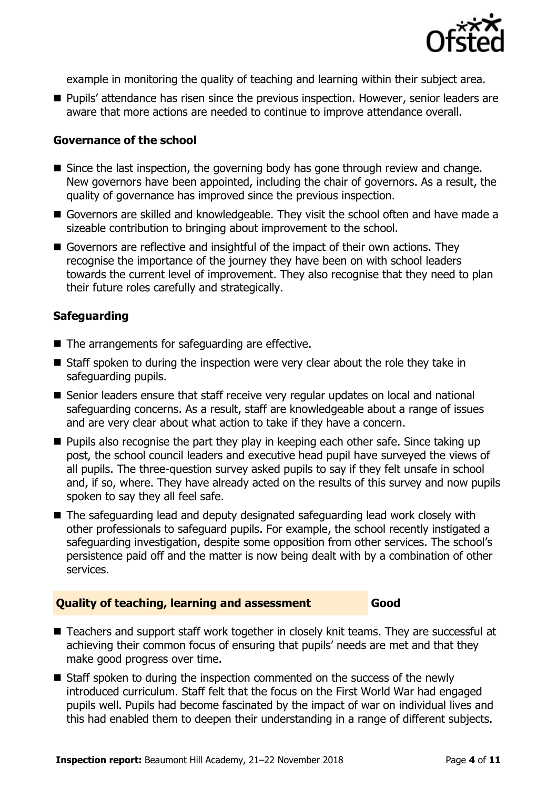

example in monitoring the quality of teaching and learning within their subject area.

**Pupils'** attendance has risen since the previous inspection. However, senior leaders are aware that more actions are needed to continue to improve attendance overall.

#### **Governance of the school**

- Since the last inspection, the governing body has gone through review and change. New governors have been appointed, including the chair of governors. As a result, the quality of governance has improved since the previous inspection.
- Governors are skilled and knowledgeable. They visit the school often and have made a sizeable contribution to bringing about improvement to the school.
- Governors are reflective and insightful of the impact of their own actions. They recognise the importance of the journey they have been on with school leaders towards the current level of improvement. They also recognise that they need to plan their future roles carefully and strategically.

#### **Safeguarding**

- $\blacksquare$  The arrangements for safeguarding are effective.
- Staff spoken to during the inspection were very clear about the role they take in safeguarding pupils.
- Senior leaders ensure that staff receive very regular updates on local and national safeguarding concerns. As a result, staff are knowledgeable about a range of issues and are very clear about what action to take if they have a concern.
- **Pupils also recognise the part they play in keeping each other safe. Since taking up** post, the school council leaders and executive head pupil have surveyed the views of all pupils. The three-question survey asked pupils to say if they felt unsafe in school and, if so, where. They have already acted on the results of this survey and now pupils spoken to say they all feel safe.
- The safeguarding lead and deputy designated safeguarding lead work closely with other professionals to safeguard pupils. For example, the school recently instigated a safeguarding investigation, despite some opposition from other services. The school's persistence paid off and the matter is now being dealt with by a combination of other services.

#### **Quality of teaching, learning and assessment Good**

- Teachers and support staff work together in closely knit teams. They are successful at achieving their common focus of ensuring that pupils' needs are met and that they make good progress over time.
- Staff spoken to during the inspection commented on the success of the newly introduced curriculum. Staff felt that the focus on the First World War had engaged pupils well. Pupils had become fascinated by the impact of war on individual lives and this had enabled them to deepen their understanding in a range of different subjects.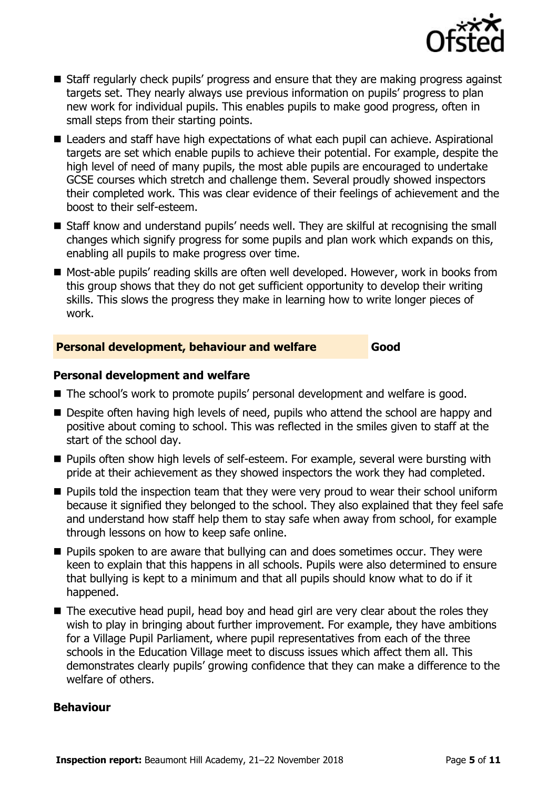

- Staff regularly check pupils' progress and ensure that they are making progress against targets set. They nearly always use previous information on pupils' progress to plan new work for individual pupils. This enables pupils to make good progress, often in small steps from their starting points.
- Leaders and staff have high expectations of what each pupil can achieve. Aspirational targets are set which enable pupils to achieve their potential. For example, despite the high level of need of many pupils, the most able pupils are encouraged to undertake GCSE courses which stretch and challenge them. Several proudly showed inspectors their completed work. This was clear evidence of their feelings of achievement and the boost to their self-esteem.
- Staff know and understand pupils' needs well. They are skilful at recognising the small changes which signify progress for some pupils and plan work which expands on this, enabling all pupils to make progress over time.
- Most-able pupils' reading skills are often well developed. However, work in books from this group shows that they do not get sufficient opportunity to develop their writing skills. This slows the progress they make in learning how to write longer pieces of work.

#### **Personal development, behaviour and welfare Good**

#### **Personal development and welfare**

- The school's work to promote pupils' personal development and welfare is good.
- Despite often having high levels of need, pupils who attend the school are happy and positive about coming to school. This was reflected in the smiles given to staff at the start of the school day.
- **Pupils often show high levels of self-esteem. For example, several were bursting with** pride at their achievement as they showed inspectors the work they had completed.
- **Pupils told the inspection team that they were very proud to wear their school uniform** because it signified they belonged to the school. They also explained that they feel safe and understand how staff help them to stay safe when away from school, for example through lessons on how to keep safe online.
- **Pupils spoken to are aware that bullying can and does sometimes occur. They were** keen to explain that this happens in all schools. Pupils were also determined to ensure that bullying is kept to a minimum and that all pupils should know what to do if it happened.
- The executive head pupil, head boy and head girl are very clear about the roles they wish to play in bringing about further improvement. For example, they have ambitions for a Village Pupil Parliament, where pupil representatives from each of the three schools in the Education Village meet to discuss issues which affect them all. This demonstrates clearly pupils' growing confidence that they can make a difference to the welfare of others.

### **Behaviour**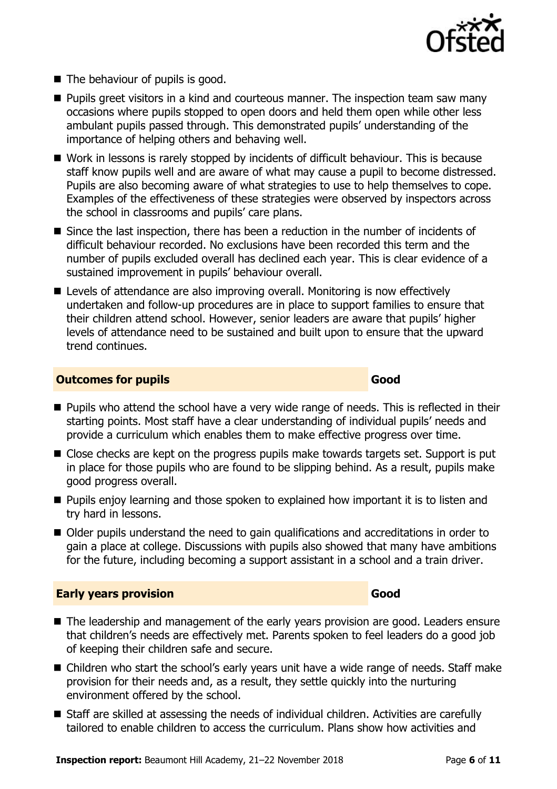

- The behaviour of pupils is good.
- **Pupils greet visitors in a kind and courteous manner. The inspection team saw many** occasions where pupils stopped to open doors and held them open while other less ambulant pupils passed through. This demonstrated pupils' understanding of the importance of helping others and behaving well.
- Work in lessons is rarely stopped by incidents of difficult behaviour. This is because staff know pupils well and are aware of what may cause a pupil to become distressed. Pupils are also becoming aware of what strategies to use to help themselves to cope. Examples of the effectiveness of these strategies were observed by inspectors across the school in classrooms and pupils' care plans.
- Since the last inspection, there has been a reduction in the number of incidents of difficult behaviour recorded. No exclusions have been recorded this term and the number of pupils excluded overall has declined each year. This is clear evidence of a sustained improvement in pupils' behaviour overall.
- Levels of attendance are also improving overall. Monitoring is now effectively undertaken and follow-up procedures are in place to support families to ensure that their children attend school. However, senior leaders are aware that pupils' higher levels of attendance need to be sustained and built upon to ensure that the upward trend continues.

#### **Outcomes for pupils Good**

- **Pupils who attend the school have a very wide range of needs. This is reflected in their** starting points. Most staff have a clear understanding of individual pupils' needs and provide a curriculum which enables them to make effective progress over time.
- Close checks are kept on the progress pupils make towards targets set. Support is put in place for those pupils who are found to be slipping behind. As a result, pupils make good progress overall.
- **Pupils enjoy learning and those spoken to explained how important it is to listen and** try hard in lessons.
- Older pupils understand the need to gain qualifications and accreditations in order to gain a place at college. Discussions with pupils also showed that many have ambitions for the future, including becoming a support assistant in a school and a train driver.

#### **Early years provision Good Good**

- The leadership and management of the early years provision are good. Leaders ensure that children's needs are effectively met. Parents spoken to feel leaders do a good job of keeping their children safe and secure.
- Children who start the school's early years unit have a wide range of needs. Staff make provision for their needs and, as a result, they settle quickly into the nurturing environment offered by the school.
- Staff are skilled at assessing the needs of individual children. Activities are carefully tailored to enable children to access the curriculum. Plans show how activities and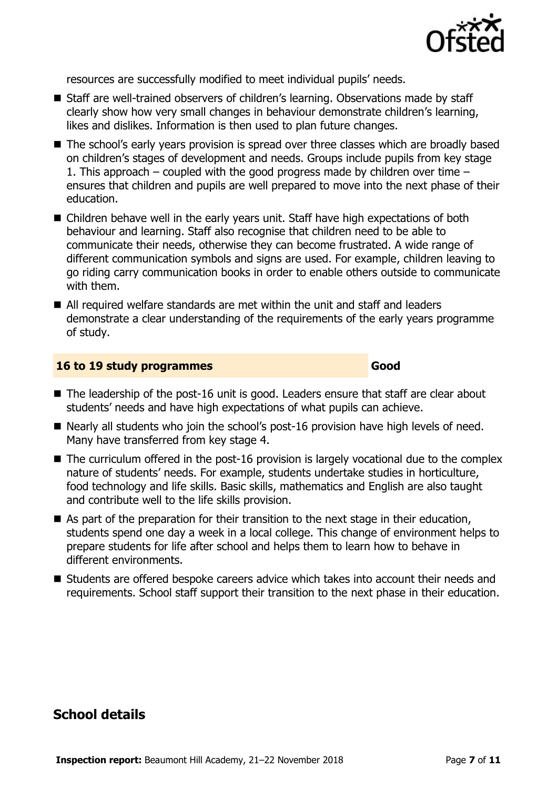

resources are successfully modified to meet individual pupils' needs.

- Staff are well-trained observers of children's learning. Observations made by staff clearly show how very small changes in behaviour demonstrate children's learning, likes and dislikes. Information is then used to plan future changes.
- The school's early years provision is spread over three classes which are broadly based on children's stages of development and needs. Groups include pupils from key stage 1. This approach – coupled with the good progress made by children over time – ensures that children and pupils are well prepared to move into the next phase of their education.
- Children behave well in the early years unit. Staff have high expectations of both behaviour and learning. Staff also recognise that children need to be able to communicate their needs, otherwise they can become frustrated. A wide range of different communication symbols and signs are used. For example, children leaving to go riding carry communication books in order to enable others outside to communicate with them.
- All required welfare standards are met within the unit and staff and leaders demonstrate a clear understanding of the requirements of the early years programme of study.

#### **16 to 19 study programmes Good**

- The leadership of the post-16 unit is good. Leaders ensure that staff are clear about students' needs and have high expectations of what pupils can achieve.
- Nearly all students who join the school's post-16 provision have high levels of need. Many have transferred from key stage 4.
- The curriculum offered in the post-16 provision is largely vocational due to the complex nature of students' needs. For example, students undertake studies in horticulture, food technology and life skills. Basic skills, mathematics and English are also taught and contribute well to the life skills provision.
- As part of the preparation for their transition to the next stage in their education, students spend one day a week in a local college. This change of environment helps to prepare students for life after school and helps them to learn how to behave in different environments.
- Students are offered bespoke careers advice which takes into account their needs and requirements. School staff support their transition to the next phase in their education.

# **School details**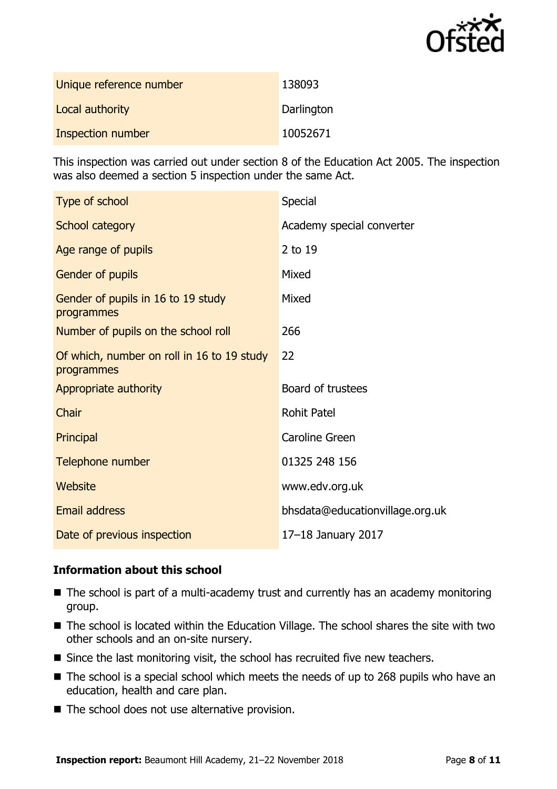

| Unique reference number | 138093     |
|-------------------------|------------|
| Local authority         | Darlington |
| Inspection number       | 10052671   |

This inspection was carried out under section 8 of the Education Act 2005. The inspection was also deemed a section 5 inspection under the same Act.

| Type of school                                           | Special                         |
|----------------------------------------------------------|---------------------------------|
| School category                                          | Academy special converter       |
| Age range of pupils                                      | 2 to 19                         |
| Gender of pupils                                         | Mixed                           |
| Gender of pupils in 16 to 19 study<br>programmes         | Mixed                           |
| Number of pupils on the school roll                      | 266                             |
| Of which, number on roll in 16 to 19 study<br>programmes | 22                              |
| Appropriate authority                                    | Board of trustees               |
| Chair                                                    | <b>Rohit Patel</b>              |
| Principal                                                | Caroline Green                  |
| Telephone number                                         | 01325 248 156                   |
| Website                                                  | www.edv.org.uk                  |
| <b>Email address</b>                                     | bhsdata@educationvillage.org.uk |
| Date of previous inspection                              | 17-18 January 2017              |

#### **Information about this school**

- The school is part of a multi-academy trust and currently has an academy monitoring group.
- The school is located within the Education Village. The school shares the site with two other schools and an on-site nursery.
- Since the last monitoring visit, the school has recruited five new teachers.
- The school is a special school which meets the needs of up to 268 pupils who have an education, health and care plan.
- The school does not use alternative provision.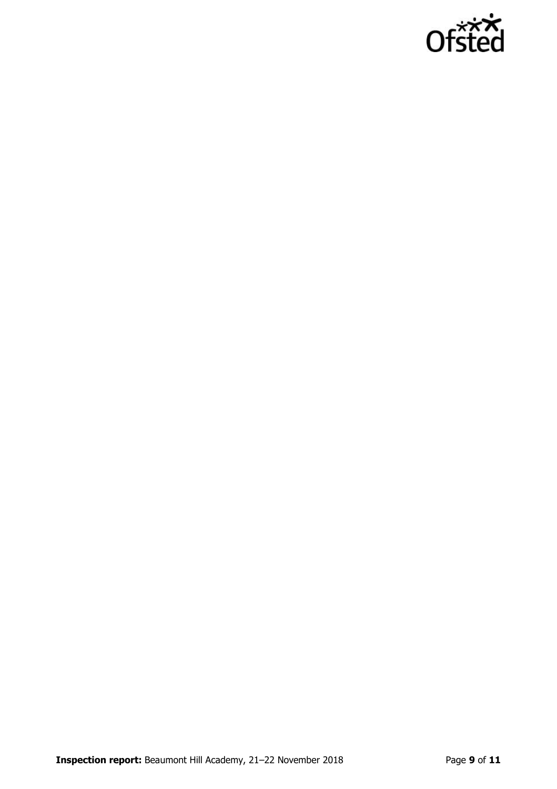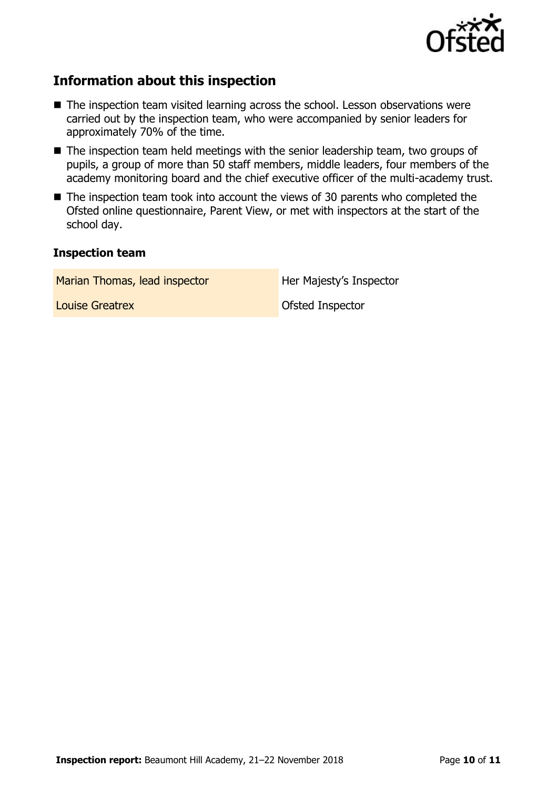

## **Information about this inspection**

- The inspection team visited learning across the school. Lesson observations were carried out by the inspection team, who were accompanied by senior leaders for approximately 70% of the time.
- The inspection team held meetings with the senior leadership team, two groups of pupils, a group of more than 50 staff members, middle leaders, four members of the academy monitoring board and the chief executive officer of the multi-academy trust.
- The inspection team took into account the views of 30 parents who completed the Ofsted online questionnaire, Parent View, or met with inspectors at the start of the school day.

#### **Inspection team**

Marian Thomas, lead inspector **Her Majesty's Inspector Louise Greatrex Contact Contact Contact Contact Contact Contact Contact Contact Contact Contact Contact Contact Contact Contact Contact Contact Contact Contact Contact Contact Contact Contact Contact Contact Contact Conta**